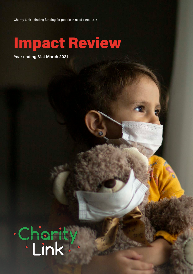Charity Link – finding funding for people in need since 1876

# Impact Review

**Year ending 31st March 2021**

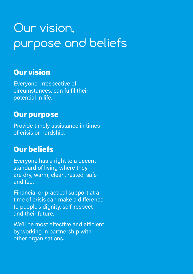# Our vision, purpose and beliefs

### Our vision

Everyone, irrespective of circumstances, can fulfil their potential in life.

### Our purpose

Provide timely assistance in times of crisis or hardship.

### Our beliefs

Everyone has a right to a decent standard of living where they are dry, warm, clean, rested, safe and fed.

Financial or practical support at a time of crisis can make a difference to people's dignity, self-respect and their future.

We'll be most effective and efficient by working in partnership with other organisations.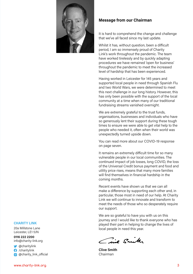

#### **Message from our Chairman**

It is hard to comprehend the change and challenge that we've all faced since my last update.

Whilst it has, without question, been a difficult period, I am so immensely proud of Charity Link's work throughout the pandemic. The team have worked tirelessly and by quickly adapting procedures we have remained 'open for business' throughout the pandemic to meet the increased level of hardship that has been experienced.

Having worked in Leicester for 145 years and supported local people in need through Spanish Flu and two World Wars, we were determined to meet this next challenge in our long history. However, this has only been possible with the support of the local community at a time when many of our traditional fundraising streams vanished overnight.

We are extremely grateful to the trust funds, organisations, businesses and individuals who have so generously lent their support during these tough times to ensure we were able to get vital help to the people who needed it, often when their world was unexpectedly turned upside down.

You can read more about our COVID-19 response on page seven.

It remains an extremely difficult time for so many vulnerable people in our local communities. The continued impact of job losses, long COVID, the loss of the Universal Credit bonus payment and food and utility price rises, means that many more families will find themselves in financial hardship in the coming months.

Recent events have shown us that we can all make a difference by supporting each other and, in particular, those most in need of our help. At Charity Link we will continue to innovate and transform to meet the needs of those who so desperately require our support.

We are so grateful to have you with us on this journey and I would like to thank everyone who has played their part in helping to change the lives of local people in need this year.

ine Smith

**Clive Smith** Chairman

**CHARITY LINK**

20a Millstone Lane Leicester, LE1 5JN

**0116 222 2200** info@charity-link.org

**C** @charitylink

/charitylink

@charity\_link\_official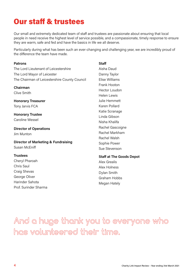### Our staff & trustees

Our small and extremely dedicated team of staff and trustees are passionate about ensuring that local people in need receive the highest level of service possible, and a compassionate, timely response to ensure they are warm, safe and fed and have the basics in life we all deserve.

Particularly during what has been such an ever-changing and challenging year, we are incredibly proud of the difference the team have made.

| <b>Staff</b>                    |
|---------------------------------|
| Aisha Daud                      |
| Danny Taylor                    |
| Elise Williams                  |
| Frank Hooton                    |
| Hector Loudon                   |
| Helen Lewis                     |
| Julie Hemmett                   |
| Karen Pollard                   |
| Katie Scranage                  |
| Linda Gibson                    |
| Nisha Khalifa                   |
| Rachel Gascoigne                |
| Rachel Markham                  |
| <b>Rachel Walsh</b>             |
| Sophie Power                    |
| Sue Stevenson                   |
| <b>Staff at The Goods Depot</b> |
| <b>Alex Grealis</b>             |
| Alex Holness                    |
| Dylan Smith                     |
|                                 |

George Oliver Harinder Sahota Prof. Surinder Sharma

Dylan Smith Graham Hobbs Megan Hately

**And a huge thank you to everyone who has volunteered their time.**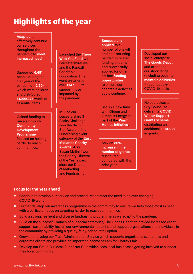## Highlights of the year

| <b>Adapted to</b><br>effectively continue<br>our services<br>throughout the<br>pandemic to meet<br>increased need<br>Supported 6,481               | <b>Launched the There</b><br><b>With You Fund with</b><br>LeicestershireLive<br>and the Randall<br><b>Charitable</b>                                                    | <b>Successfully</b><br>applied to a<br>number of one-off<br>and non-recurring<br>pandemic-related<br>funding streams<br>and successfully<br>applied for other | Developed our<br>social enterprise,<br><b>The Goods Depot</b><br>and expanded<br>our stock range                                                     |
|----------------------------------------------------------------------------------------------------------------------------------------------------|-------------------------------------------------------------------------------------------------------------------------------------------------------------------------|---------------------------------------------------------------------------------------------------------------------------------------------------------------|------------------------------------------------------------------------------------------------------------------------------------------------------|
| people during the<br>first year of the<br>pandemic - 2,604 of<br>which were children<br>and distributed<br>£1,099,274 worth of<br>essential items. | <b>Foundation, This</b><br>went on to raise<br>over £147,803 to<br>support those<br>impacted by<br>the pandemic.                                                        | ad-hoc funding<br>opportunities<br>to ensure our<br>charitable activities<br>could continue.                                                                  | (including beds) to<br>maintain deliveries<br>throughout the<br>COVID-19 crisis.<br><b>Helped Leicester</b>                                          |
| <b>Gained funding to</b><br>run a six month<br><b>Community</b><br><b>Development</b><br><b>Programme</b>                                          | In June our<br>Leicestershire 3<br><b>Peaks Challenge</b><br>won the Rising<br><b>Star Award in the</b><br><b>Fundraising event</b>                                     | Set up a new fund<br>with Ofgem and<br><b>Octopus Energy as</b><br>part of the Warm<br><b>Homes Initiative</b>                                                | <b>City Council to</b><br>deliver its COVID<br><b>Winter Support</b><br><b>Grants scheme</b><br>distributing an<br>additional £310,638<br>in grants. |
| focused on helping<br>harder to reach<br>communities.                                                                                              | category of the East<br><b>Midlands Charity</b><br><b>Awards, Also,</b><br><b>Susan McEniff won</b><br>the Charity Director<br>of the Year award,<br>she's our Director | <b>Saw an 80%</b><br>increase in the<br>number of grants<br>distributed<br>compared with the<br>prior year.                                                   |                                                                                                                                                      |

#### **Focus for the Year ahead**

■ Continue to develop our service and procedures to meet the need in an ever changing COVID-19 world.

of Marketing and Fundraising.

- **■** Further develop our awareness programme in the community to ensure we help those most in need, with a particular focus on targeting harder to reach communities.
- **■** Build a strong, resilient and diverse fundraising programme as we adapt to the pandemic.
- Build on the successful launch of our social enterprise, The Goods Depot, to provide increased client support, sustainability, lessen our environmental footprint and support organisations and individuals in the community by providing a quality, fairly-priced retail option.
- Grow and develop our Trust Administration Service which supports organisations, charities and corporate clients and provides an important income stream for Charity Link.
- Develop our Proud Business Supporter Club which sees local businesses getting involved to support their local community.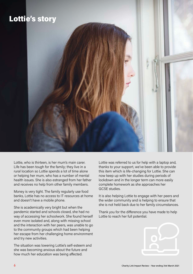

Lottie, who is thirteen, is her mum's main carer. Life has been tough for the family; they live in a rural location so Lottie spends a lot of time alone or helping her mum, who has a number of mental health issues. She is also estranged from her father and receives no help from other family members.

Money is very tight. The family regularly use food banks, Lottie has no access to IT resources at home and doesn't have a mobile phone.

She is academically very bright but when the pandemic started and schools closed, she had no way of accessing her schoolwork. She found herself even more isolated and, along with missing school and the interaction with her peers, was unable to go to the community groups which had been helping her escape from her challenging home environment and try new activities.

The situation was lowering Lottie's self-esteem and she was becoming anxious about the future and how much her education was being affected.

Lottie was referred to us for help with a laptop and, thanks to your support, we've been able to provide this item which is life-changing for Lottie. She can now keep up with her studies during periods of lockdown and in the longer term can more easily complete homework as she approaches her GCSE studies.

It is also helping Lottie to engage with her peers and the wider community and is helping to ensure that she is not held back due to her family circumstances.

Thank you for the difference you have made to help Lottie to reach her full potential.

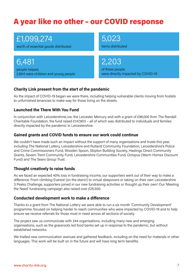### A year like no other – our COVID response

£1,099,274

worth of essential goods distributed

6,481 people helped, 2,604 were children and young people 5,023

items distributed

2,203

of these people were directly impacted by COVID-19

#### **Charity Link present from the start of the pandemic**

As the impact of COVID-19 began we were there, including helping vulnerable clients moving from hostels to unfurnished tenancies to make way for those living on the streets.

#### **Launched the There With You Fund**

In conjunction with LeicestershireLive, the Leicester Mercury and with a grant of £96,000 from The Randall Charitable Foundation, the fund raised £147,803 – all of which was distributed to individuals and families directly impacted by the pandemic in Leicestershire.

#### **Gained grants and COVID funds to ensure our work could continue**

We couldn't have made such an impact without the support of many organisations and trusts this year, including The National Lottery, Leicestershire and Rutland Community Foundation, Leicestershire's Police and Crime Commissioners Fund, Wooden Spoon, Skipton Building Society, Hastings Direct Community Grants, Severn Trent Community Fund, Leicestershire Communities Fund, Octopus (Warm Homes Discount Fund) and The Sears Group Trust.

#### **Thought creatively to raise funds**

As we faced an expected 40% loss in fundraising income, our supporters went out of their way to make a difference. From climbing Everest (on the stairs!) to virtual sleepovers or taking on their own Leicestershire 3 Peaks Challenge, supporters joined in our new fundraising activities or thought up their own! Our 'Meeting the Need' fundraising campaign also raised over £25,500.

#### **Conducted development work to make a difference**

Thanks to a grant from The National Lottery we were able to run a six month 'Community Development' programme, focused on helping harder to reach communities who were impacted by COVID-19 and to help ensure we receive referrals for those most in need across all sections of society.

The project saw us communicate with 244 organisations, including many new and emerging organisations, such as the grassroots led food banks set up in response to the pandemic, but without established networks.

We trialled new communication avenues and gathered feedback, including on the need for materials in other languages. This work will be built on in the future and will have long term benefits.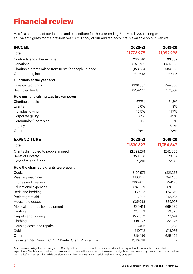## Financial review

Here's a summary of our income and expenditure for the year ending 31st March 2021, along with equivalent figures for the previous year. A full copy of our audited accounts is available on our website.

| <b>INCOME</b>                                           | 2020-21    | 2019-20    |
|---------------------------------------------------------|------------|------------|
| <b>Total</b>                                            | £1,773,979 | £1,092,998 |
| Contracts and other income                              | £230,340   | £93,669    |
| Donations                                               | £378,912   | £407,828   |
| Charitable grants raised from trusts for people in need | £1,153,084 | £584,088   |
| Other trading income                                    | £11,643    | £7,413     |
| Our funds at the year end                               |            |            |
| Unrestricted funds                                      | £196,607   | £44,500    |
| <b>Restricted funds</b>                                 | £254,917   | £199,367   |
| How our fundraising was broken down                     |            |            |
| Charitable trusts                                       | 67.7%      | 51.8%      |
| Events                                                  | 6.6%       | 9%         |
| Individual giving                                       | 15.5%      | 11.7%      |
| Corporate giving                                        | 8.7%       | 9.9%       |
| Community fundraising                                   | 1%         | 9.1%       |
| Legacy                                                  |            | 8.2%       |
| Other                                                   | 0.5%       | 0.3%       |
| <b>EXPENDITURE</b>                                      | 2020-21    | 2019-20    |
| <b>Total</b>                                            | £1,530,322 | £1,054,647 |
| Grants distributed to people in need                    | £1,099,274 | £612,338   |
| <b>Relief of Poverty</b>                                | £359,838   | £370,164   |
| Cost of raising funds                                   | £71,210    | £72,145    |
| How the charitable grants were spent                    |            |            |
| Cookers                                                 | £169,571   | £121,272   |
| Washing machines                                        | £108,155   | £54,488    |
| Fridges and freezers                                    | £103,435   | £41,126    |
| <b>Educational expenses</b>                             | £82,969    | £69,602    |
| Beds and bedding                                        | £77,125    | £57,870    |
| Project grant aid                                       | £73,802    | £48,237    |
| Household goods                                         | £35,093    | £25,967    |
| Medical and mobility equipment                          | £30,414    | £69,685    |
| Heating                                                 | £26,553    | £29,623    |
| Carpets and flooring                                    | £22,859    | £21,574    |
| Clothing                                                | £18,047    | £22,246    |
| Housing costs and repairs                               | £13,405    | £11,218    |
| Debt                                                    | £10,712    | £13,976    |
| Other                                                   | £16,496    | £25,454    |
| Leicester City Council COVID Winter Grant Programme     | £310,638   |            |

**Our reserves policy:** It is the policy of the Charity that free reserves should be maintained at a level equivalent to six months unrestricted expenditure. The Trustees consider that reserves at this level will ensure that, in the event of a significant drop in funding, they will be able to continue the Charity's current activities while consideration is given to ways in which additional funds may be raised.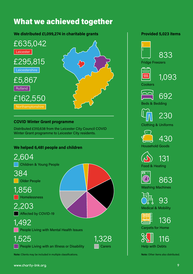### What we achieved together

**We distributed £1,099,274 in charitable grants**



#### **COVID Winter Grant programme**

Distributed £310,638 from the Leicester City Council COVID Winter Grant programme to Leicester City residents.

#### **We helped 6,481 people and children**



#### **Provided 5,023 items**

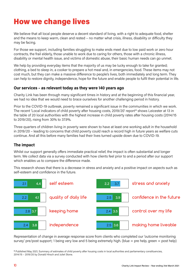### How we change lives

We believe that all local people deserve a decent standard of living, with a right to adequate food, shelter and the means to keep warm, clean and rested – no matter what crisis, illness, disability or difficulty they may be facing.

For those we support, including families struggling to make ends meet due to low paid work or zero hour contracts, the frail elderly, those unable to work due to caring for others, those with a chronic illness, disability or mental health issue, and victims of domestic abuse, their basic human needs can go unmet.

We help by providing everyday items that the majority of us may be lucky enough to take for granted; clothing, a bed to sleep in, a cooker to prepare a hot meal and, in emergencies, food. These items may not cost much, but they can make a massive difference to people's lives, both immediately and long term. They can help to restore dignity, independence, hope for the future and enable people to fulfil their potential in life.

#### **Our services – as relevant today as they were 140 years ago**

Charity Link has been through many significant times in history and at the beginning of this financial year, we had no idea that we would need to brace ourselves for another challenging period in history.

Prior to the COVID-19 outbreak, poverty remained a significant issue in the communities in which we work. The recent 'Local indicators of child poverty after housing costs, 2019/20' report\* shows Leicester at 13 in the table of 20 local authorities with the highest increase in child poverty rates after housing costs (2014/15 to 2019/20), rising from 30% to 37.9%.

Three quarters of children living in poverty were shown to have at least one working adult in the household in 2019/20 – leading to concerns that child poverty could reach a record high in future years as welfare cuts continue. And all this before many families had their lives turned upside down due to COVID-19.

#### **The impact**

Whilst our support generally offers immediate practical relief, the impact is often substantial and longer term. We collect data via a survey conducted with how clients feel prior to and a period after our support which enables us to compare the difference made.

This research shows that there is a decrease in stress and anxiety and a positive impact on aspects such as self-esteem and confidence in the future.



Representation of change in average response score from clients who completed our 'outcome monitoring survey' pre/post support; 1 being very low and 5 being extremely high. (blue = pre help, green = post help)

**\*** Published May 2021, Summary of estimates of child poverty after housing costs in local authorities and parliamentary constituencies, 2014/15 – 2019/20 by Donald Hirsch and Juliet Stone.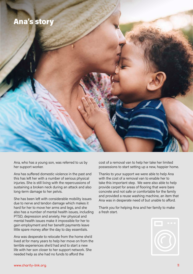

Ana, who has a young son, was referred to us by her support worker.

Ana has suffered domestic violence in the past and this has left her with a number of serious physical injuries. She is still living with the repercussions of sustaining a broken neck during an attack and also long-term damage to her pelvis.

She has been left with considerable mobility issues due to nerve and tendon damage which makes it hard for her to move her arms and legs, and she also has a number of mental health issues, including PTSD, depression and anxiety. Her physical and mental health issues make it impossible for her to gain employment and her benefit payments leave little spare money after the day to day essentials.

Ana was desperate to relocate from the home she'd lived at for many years to help her move on from the terrible experiences she'd had and to start a new life with her son closer to her support network. She needed help as she had no funds to afford the

cost of a removal van to help her take her limited possessions to start setting up a new, happier home.

Thanks to your support we were able to help Ana with the cost of a removal van to enable her to take this important step. We were also able to help provide carpet for areas of flooring that were bare concrete and not safe or comfortable for the family and provided a reuse washing machine, an item that Ana was in desperate need of but unable to afford.

Thank you for helping Ana and her family to make a fresh start.

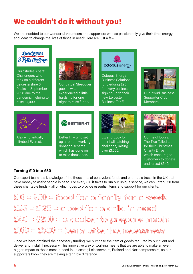# We couldn't do it without you! *£ 3.84*

We are indebted to our wonderful volunteers and supporters who so passionately give their time, energy and ideas to change the lives of those in need! Here are just a few!



#### **Turning £10 into £50**

Our expert team has knowledge of the thousands of benevolent funds and charitable trusts in the UK that have money to assist people in need. For every £10 it takes to run our unique service, we can untap £50 from these charitable funds – all of which goes to provide essential items and support for our clients.

**£10 = £50 = food for a family for a week £25 = £125 = a bed for a child in need £40 = £200 = a cooker to prepare meals £100 = £500 = items after homelessness**

Once we have obtained the necessary funding, we purchase the item or goods required by our client and deliver and install if necessary. This innovative way of working means that we are able to make an even bigger impact to those most in need in Leicester, Leicestershire, Rutland and Northamptonshire, so our supporters know they are making a tangible difference.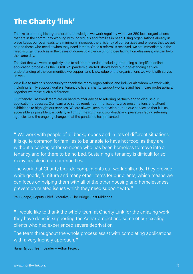## The Charity 'link'

Thanks to our long history and expert knowledge, we work regularly with over 250 local organisations that are in the community working with individuals and families in need. Using organisations already in place keeps our overheads to a minimum, increases the efficiency of our services and ensures that we get help to those who need it when they need it most. Once a referral is received, we act immediately. If the need is urgent (such as in the cases of domestic violence or for those facing homelessness) we can help the same day.

The fact that we were so quickly able to adapt our service (including producing a simplified online application process) as the COVID-19 pandemic started, shows how our long-standing service, understanding of the communities we support and knowledge of the organisations we work with serves us well.

We'd like to take this opportunity to thank the many organisations and individuals whom we work with, including family support workers, tenancy officers, charity support workers and healthcare professionals. Together we make such a difference.

Our friendly Casework team are on hand to offer advice to referring partners and to discuss our application processes. Our team also sends regular communications, give presentations and attend exhibitions to highlight our services. We are always keen to develop our unique service so that it is as accessible as possible, particularly in light of the significant workloads and pressures facing referring agencies and the ongoing changes that the pandemic has presented.

" We work with people of all backgrounds and in lots of different situations. It is quite common for families to be unable to have hot food, as they are without a cooker, or for someone who has been homeless to move into a tenancy and for there to be no bed. Sustaining a tenancy is difficult for so many people in our communities.

The work that Charity Link do compliments our work brilliantly. They provide white goods, furniture and many other items for our clients, which means we can focus on helping them with all of the other housing and homelessness prevention related issues which they need support with."

Paul Snape, Deputy Chief Executive – The Bridge, East Midlands

" I would like to thank the whole team at Charity Link for the amazing work they have done in supporting the Adhar project and some of our existing clients who had experienced severe deprivation.

The team throughout the whole process assist with completing applications with a very friendly approach."

Rana Rajput, Team Leader – Adhar Project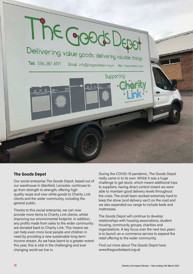

#### **The Goods Depot**

Our social enterprise The Goods Depot, based out of our warehouse in Glenfield, Leicester, continues to go from strength to strength, offering high quality reuse and new white goods to Charity Link clients and the wider community, including the general public.

Thanks to this social enterprise, we can now provide more items to Charity Link clients, whilst improving our environmental footprint. In addition, any profits made from sales to the wider community are donated back to Charity Link. This means we can help even more local people and children in need by providing a new sustainable long-term income stream. As we have learnt to a greater extent this year, this is vital in the challenging and ever changing world we live in.

During the COVID-19 pandemic, The Goods Depot really came in to its own. Whilst it was a huge challenge to get stock, which meant additional trips to suppliers, having direct control meant we were able to maintain good delivery levels throughout the crisis. The small team worked extremely hard to keep the show (and delivery van!) on the road and we also expanded our range to include beds and mattresses.

The Goods Depot will continue to develop relationships with housing associations, student housing, community groups, charities and organisations. A key focus over the next two years is to launch an e-commerce service to expand the retail offering to the wider community.

Find out more about The Goods Depot here: www.thegoodsdepot.org.uk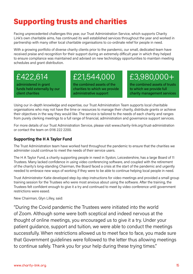### Supporting trusts and charities

Facing unprecedented challenges this year, our Trust Administration Service, which supports Charity Link's own charitable aims, has continued its well established services throughout the year and worked in partnership with many other local charitable organisations to co-ordinate relief for people in need.

With a growing portfolio of diverse charity clients prior to the pandemic, our small, dedicated team have received praise and recognition for their support during an extremely difficult year in which they helped to ensure compliance was maintained and advised on new technology opportunities to maintain meeting schedules and grant distribution.

### £422,614

administered in grant funds held externally by our client charities

### £21,544,000

the combined assets of the charities to which we provide administrative support

### £3,980,000+

the combined assets of trusts to which we provide full charity management services

Using our in-depth knowledge and expertise, our Trust Administration Team supports local charitable organisations who may not have the time or resources to manage their charity, distribute grants or achieve their objectives in the way they would like. The service is tailored to the needs of each charity and ranges from purely clerking meetings to a full range of financial, administration and governance support services.

For more details of our Trust Administration Service, please visit www.charity-link.org/trust-administration or contact the team on 0116 222 2200.

#### **Supporting the H A Taylor Fund**

The Trust Administration team have worked hard throughout the pandemic to ensure that the charities we administer could continue to meet the needs of their service users.

The H A Taylor Fund, a charity supporting people in need in Syston, Leicestershire, has a large Board of 11 Trustees. Many lacked confidence in using video conferencing software, and coupled with the retirement of the charity's long-standing Chairman, the Board faced a crisis at the start of the pandemic and urgently needed to embrace new ways of working if they were to be able to continue helping local people in need.

Trust Administrator Katie developed step-by-step instructions for video meetings and provided a small group training session for the Trustees who were most anxious about using the software. After the training, the Trustees felt confident enough to give it a try and continued to meet by video conference until government restrictions were eased.

New Chairman, Glyn Lilley, said:

"During the Covid pandemic the Trustees were initiated into the world of Zoom. Although some were both sceptical and indeed nervous at the thought of online meetings, you encouraged us to give it a try. Under your patient guidance, support and tuition, we were able to conduct the meetings successfully. When restrictions allowed us to meet face to face, you made sure that Government guidelines were followed to the letter thus allowing meetings to continue safely. Thank you for your help during these trying times."